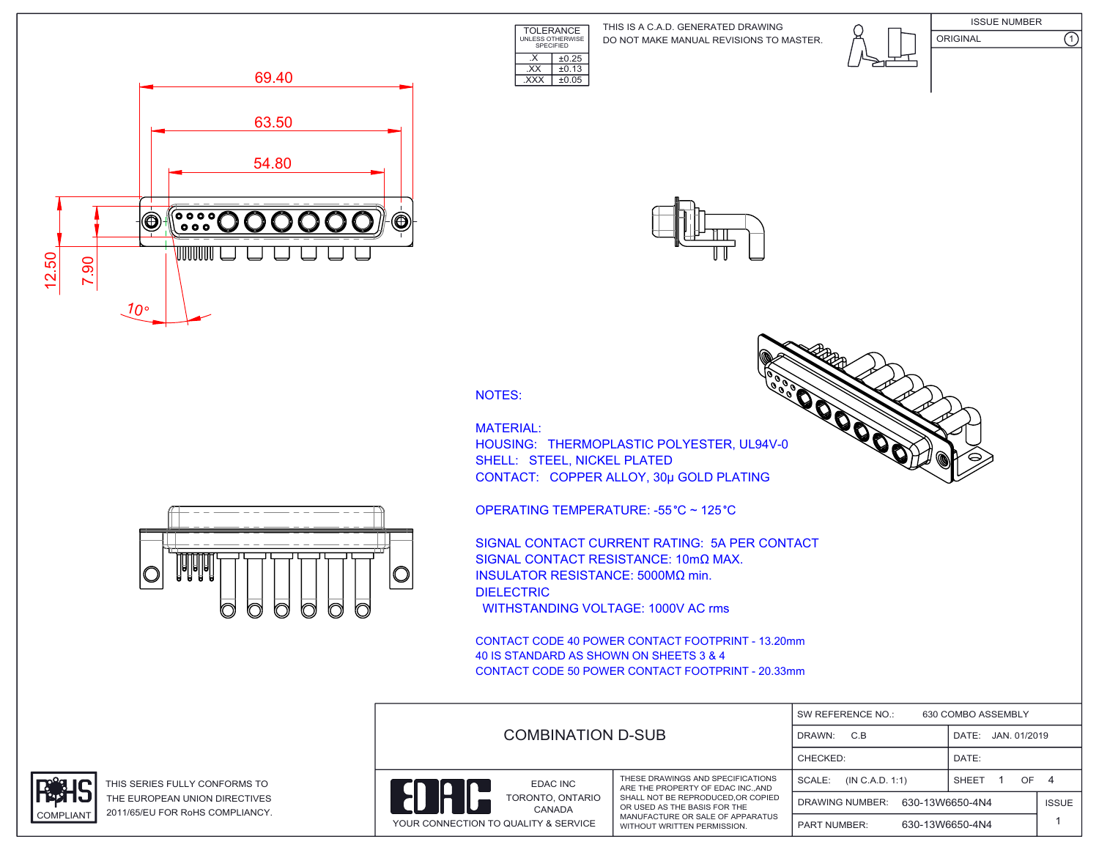TOLERANCE UNLESS OTHERWISE SPECIFIED DO NOT MAKE MANUAL REVISIONS TO MASTER. THIS IS A C.A.D. GENERATED DRAWING



**COOPERADOR** 







NOTES:

 $\overline{XX}$   $\pm 0.13$ .XXX ±0.05

 $\overline{\text{X}}$   $\overline{\text{+0.25}}$ 

MATERIAL: HOUSING: THERMOPLASTIC POLYESTER, UL94V-0 SHELL: STEEL, NICKEL PLATED CONTACT: COPPER ALLOY, 30μ GOLD PLATING

OPERATING TEMPERATURE: -55 °C ~ 125 °C

SIGNAL CONTACT CURRENT RATING: 5A PER CONTACT SIGNAL CONTACT RESISTANCE: 10mΩ MAX. INSULATOR RESISTANCE: 5000MΩ min. DIELECTRIC WITHSTANDING VOLTAGE: 1000V AC rms

CONTACT CODE 40 POWER CONTACT FOOTPRINT - 13.20mm 40 IS STANDARD AS SHOWN ON SHEETS 3 & 4 CONTACT CODE 50 POWER CONTACT FOOTPRINT - 20.33mm

|  |                                                                    |                                                                                                                                       | SW REFERENCE NO.:<br>630 COMBO ASSEMBLY   |              |              |  |  |
|--|--------------------------------------------------------------------|---------------------------------------------------------------------------------------------------------------------------------------|-------------------------------------------|--------------|--------------|--|--|
|  | <b>COMBINATION D-SUB</b>                                           | C.B<br>DRAWN:                                                                                                                         | JAN. 01/2019<br>DATE:                     |              |              |  |  |
|  |                                                                    |                                                                                                                                       | CHECKED:                                  | DATE:        |              |  |  |
|  | EDAC INC                                                           | THESE DRAWINGS AND SPECIFICATIONS<br>ARE THE PROPERTY OF EDAC INCAND                                                                  | SCALE:<br>(IN C.A.D. 1:1)                 | SHEET<br>OF. |              |  |  |
|  | TORONTO, ONTARIO<br>CANADA<br>YOUR CONNECTION TO QUALITY & SERVICE | SHALL NOT BE REPRODUCED, OR COPIED<br>OR USED AS THE BASIS FOR THE<br>MANUFACTURE OR SALE OF APPARATUS<br>WITHOUT WRITTEN PERMISSION. | 630-13W6650-4N4<br><b>DRAWING NUMBER:</b> |              | <b>ISSUE</b> |  |  |
|  |                                                                    |                                                                                                                                       | 630-13W6650-4N4<br><b>PART NUMBER:</b>    |              |              |  |  |





THIS SERIES FULLY CONFORMS TO THE EUROPEAN UNION DIRECTIVES COMPLIANT 2011/65/EU FOR RoHS COMPLIANCY.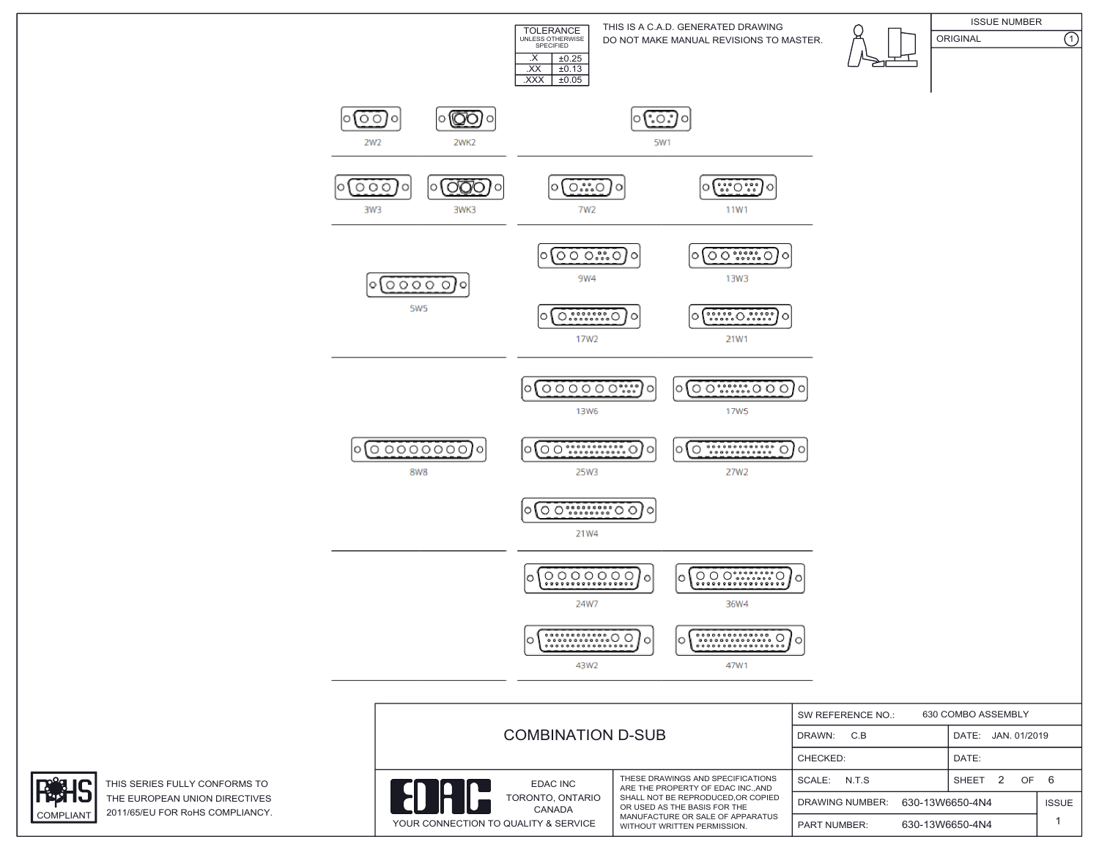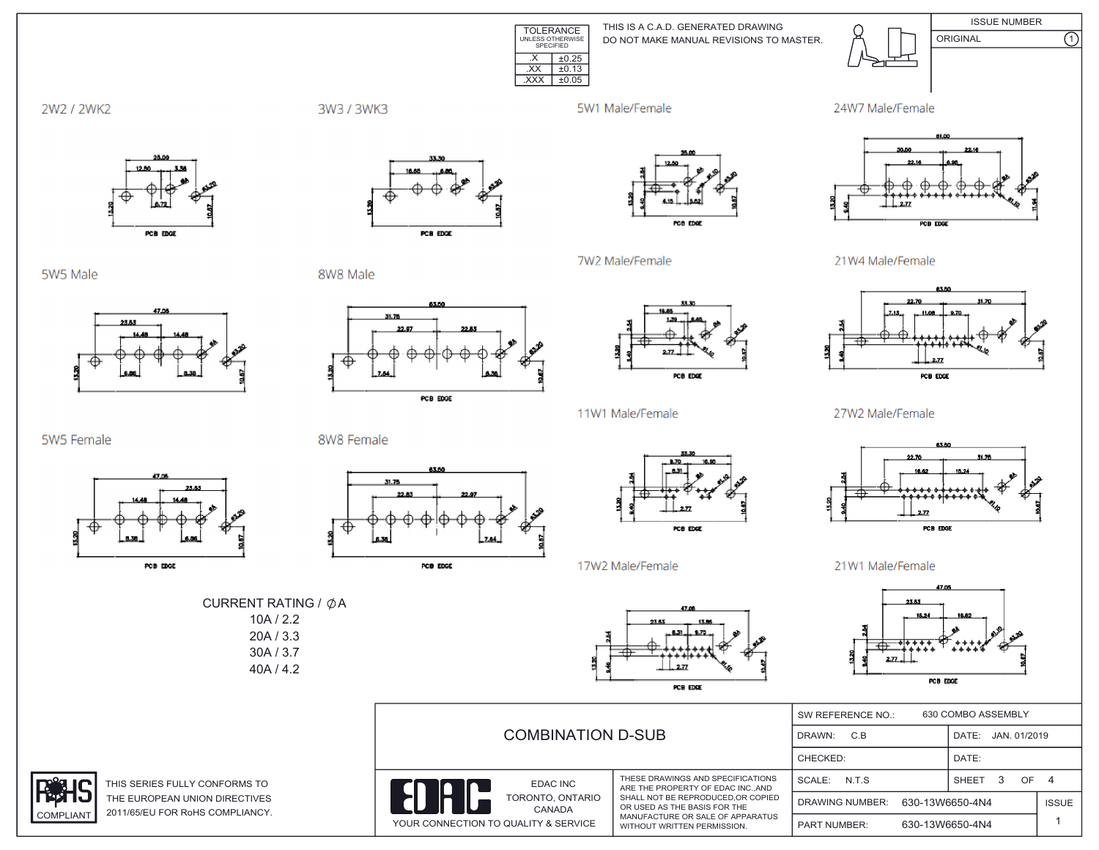

DO NOT MAKE MANUAL REVISIONS TO MASTER. THIS IS A C.A.D. GENERATED DRAWING



ISSUE NUMBER ORIGINAL (1)

2W2 / 2WK2

3W3 / 3WK3

5W1 Male/Female





5W5 Male



PCB EDGE

8W8 Male



PCB EDGE



27W2 Male/Female



21W1 Male/Female



|                        | <b>COMBINATION D-SUB</b>                                                  |                                                                                                                                      | 630 COMBO ASSEMBLY<br>SW REFERENCE NO.:   |                 |                    |              |  |
|------------------------|---------------------------------------------------------------------------|--------------------------------------------------------------------------------------------------------------------------------------|-------------------------------------------|-----------------|--------------------|--------------|--|
|                        |                                                                           |                                                                                                                                      | C.B<br>DRAWN:                             |                 | DATE: JAN. 01/2019 |              |  |
|                        |                                                                           |                                                                                                                                      | CHECKED:                                  |                 | DATE:              |              |  |
| <b>AS TO</b>           | <b>EDAC INC</b>                                                           | THESE DRAWINGS AND SPECIFICATIONS<br>ARE THE PROPERTY OF EDAC INC., AND                                                              | SCALE:<br>N.T.S                           |                 | OF<br><b>SHEET</b> | 4            |  |
| <b>TIVES</b><br>IANCY. | TORONTO, ONTARIO<br><b>CANADA</b><br>YOUR CONNECTION TO QUALITY & SERVICE | SHALL NOT BE REPRODUCED.OR COPIED<br>OR USED AS THE BASIS FOR THE<br>MANUFACTURE OR SALE OF APPARATUS<br>WITHOUT WRITTEN PERMISSION. | 630-13W6650-4N4<br><b>DRAWING NUMBER:</b> |                 |                    | <b>ISSUE</b> |  |
|                        |                                                                           |                                                                                                                                      | <b>PART NUMBER:</b>                       | 630-13W6650-4N4 |                    |              |  |

5W5 Female



8W8 Female





CURRENT RATING /  $\phi$ A 10A / 2.2 20A / 3.3 30A / 3.7 40A / 4.2



17W2 Male/Female

THIS SERIES FULLY CONFORM THE EUROPEAN UNION DIREC COMPLIANT 2011/65/EU FOR RoHS COMPL





7W2 Male/Female

11W1 Male/Female